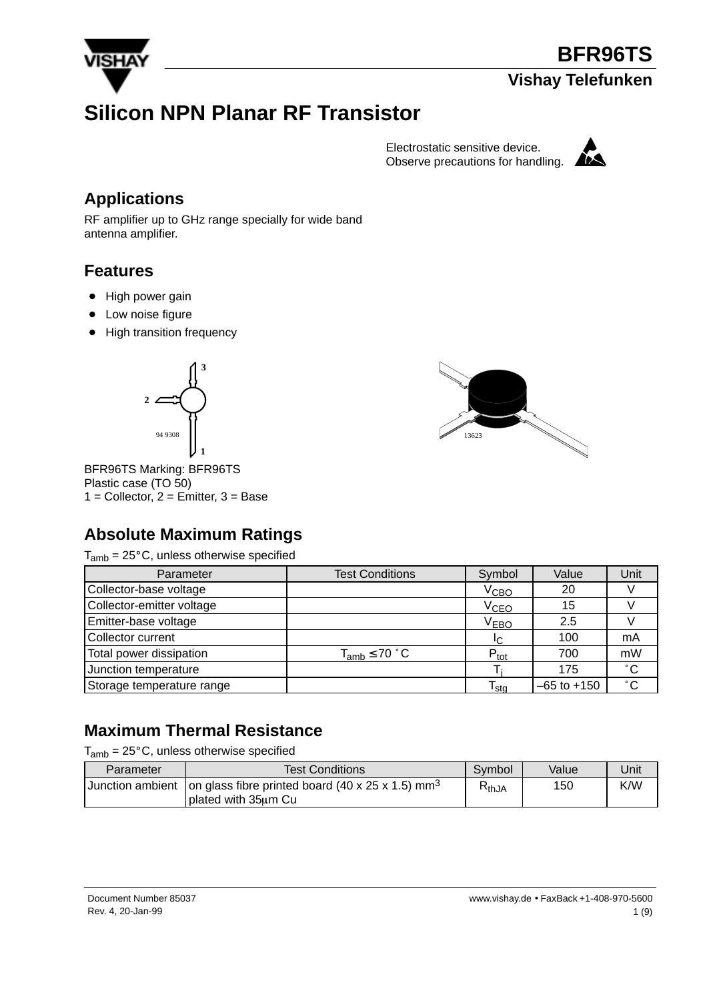

# **Silicon NPN Planar RF Transistor**

Electrostatic sensitive device. Observe precautions for handling.



## **Applications**

RF amplifier up to GHz range specially for wide band antenna amplifier.

#### **Features**

- High power gain
- Low noise figure
- High transition frequency





BFR96TS Marking: BFR96TS Plastic case (TO 50)  $1 =$  Collector,  $2 =$  Emitter,  $3 =$  Base

## **Absolute Maximum Ratings**

 $T_{amb}$  = 25 $^{\circ}$ C, unless otherwise specified

| Parameter                 | <b>Test Conditions</b> | Symbol                      | Value           | Unit         |
|---------------------------|------------------------|-----------------------------|-----------------|--------------|
| Collector-base voltage    |                        | V <sub>CBO</sub>            | 20              |              |
| Collector-emitter voltage |                        | V <sub>CEO</sub>            | 15              |              |
| Emitter-base voltage      |                        | $V_{EBO}$                   | 2.5             |              |
| Collector current         |                        | IC.                         | 100             | mA           |
| Total power dissipation   | $T_{amb} \leq 70$ °C   | $P_{\text{tot}}$            | 700             | mW           |
| Junction temperature      |                        |                             | 175             | $^{\circ}$ C |
| Storage temperature range |                        | $\mathsf{r}_{\mathsf{stg}}$ | $-65$ to $+150$ | $^{\circ}$ C |

## **Maximum Thermal Resistance**

 $T_{amb}$  = 25 $^{\circ}$ C, unless otherwise specified

| Parameter | Test Conditions                                                                                          | Symbol     | Value | Unit |
|-----------|----------------------------------------------------------------------------------------------------------|------------|-------|------|
|           | Junction ambient   on glass fibre printed board (40 x 25 x 1.5) mm <sup>3</sup><br>I plated with 35um Cu | $R_{thJA}$ | 150   | K/W  |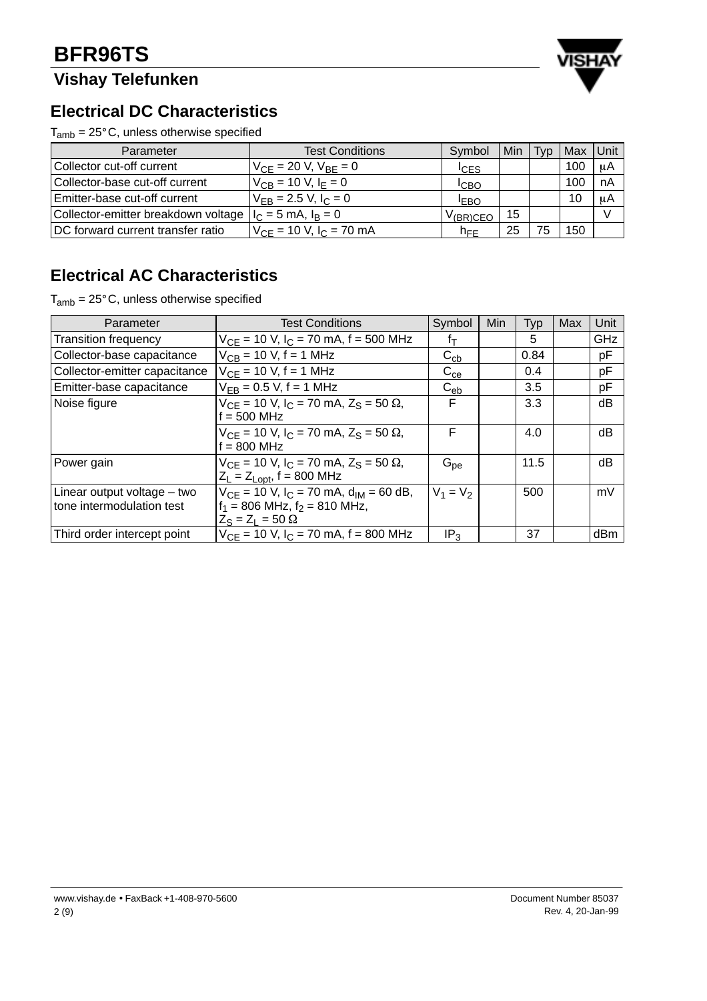## **Vishay Telefunken**



#### **Electrical DC Characteristics**

 $T_{amb} = 25^{\circ}$ C, unless otherwise specified

| Parameter                           | <b>Test Conditions</b>         | Symbol                | Min | Typ | Max | Unit    |
|-------------------------------------|--------------------------------|-----------------------|-----|-----|-----|---------|
| Collector cut-off current           | $V_{CF} = 20 V, V_{BF} = 0$    | <sup>I</sup> CES      |     |     | 100 | $\mu$ A |
| Collector-base cut-off current      | $V_{CB} = 10 V, I_F = 0$       | <b>I</b> CBO          |     |     | 100 | nA      |
| Emitter-base cut-off current        | $V_{FB} = 2.5 V, I_C = 0$      | <b>IEBO</b>           |     |     | 10  | μA      |
| Collector-emitter breakdown voltage | $I_C = 5$ mA, $I_B = 0$        | V <sub>(BR)</sub> CEO | 15  |     |     |         |
| DC forward current transfer ratio   | $V_{CF}$ = 10 V, $I_C$ = 70 mA | $n_{\text{FE}}$       | 25  | 75  | 150 |         |

## **Electrical AC Characteristics**

 $T_{amb} = 25^{\circ}$ C, unless otherwise specified

| Parameter                                                  | <b>Test Conditions</b>                                                                                            | Symbol          | <b>Min</b> | Typ  | Max | Unit |
|------------------------------------------------------------|-------------------------------------------------------------------------------------------------------------------|-----------------|------------|------|-----|------|
| <b>Transition frequency</b>                                | $V_{CE}$ = 10 V, I <sub>C</sub> = 70 mA, f = 500 MHz                                                              | fт              |            | 5    |     | GHz  |
| Collector-base capacitance                                 | $V_{CB}$ = 10 V, f = 1 MHz                                                                                        | $C_{cb}$        |            | 0.84 |     | pF   |
| Collector-emitter capacitance                              | $V_{CE} = 10 V, f = 1 MHz$                                                                                        | $C_{ce}$        |            | 0.4  |     | pF   |
| Emitter-base capacitance                                   | $V_{FB} = 0.5 V, f = 1 MHz$                                                                                       | $C_{eb}$        |            | 3.5  |     | pF   |
| Noise figure                                               | $V_{CF}$ = 10 V, I <sub>C</sub> = 70 mA, Z <sub>S</sub> = 50 $\Omega$ ,<br>$f = 500$ MHz                          | F               |            | 3.3  |     | dB   |
|                                                            | $V_{CF}$ = 10 V, I <sub>C</sub> = 70 mA, Z <sub>S</sub> = 50 $\Omega$ ,<br>$f = 800$ MHz                          | F               |            | 4.0  |     | dB   |
| Power gain                                                 | $V_{CF}$ = 10 V, I <sub>C</sub> = 70 mA, Z <sub>S</sub> = 50 $\Omega$ ,<br>$Z_L = Z_{Lopt}$ , f = 800 MHz         | $G_{pe}$        |            | 11.5 |     | dB   |
| Linear output voltage $-$ two<br>tone intermodulation test | $V_{CF}$ = 10 V, $I_C$ = 70 mA, $d_{IM}$ = 60 dB,<br>$f_1 = 806$ MHz, $f_2 = 810$ MHz,<br>$Z_S = Z_1 = 50 \Omega$ | $V_1 = V_2$     |            | 500  |     | mV   |
| Third order intercept point                                | $V_{CF}$ = 10 V, $I_C$ = 70 mA, f = 800 MHz                                                                       | IP <sub>3</sub> |            | 37   |     | dBm  |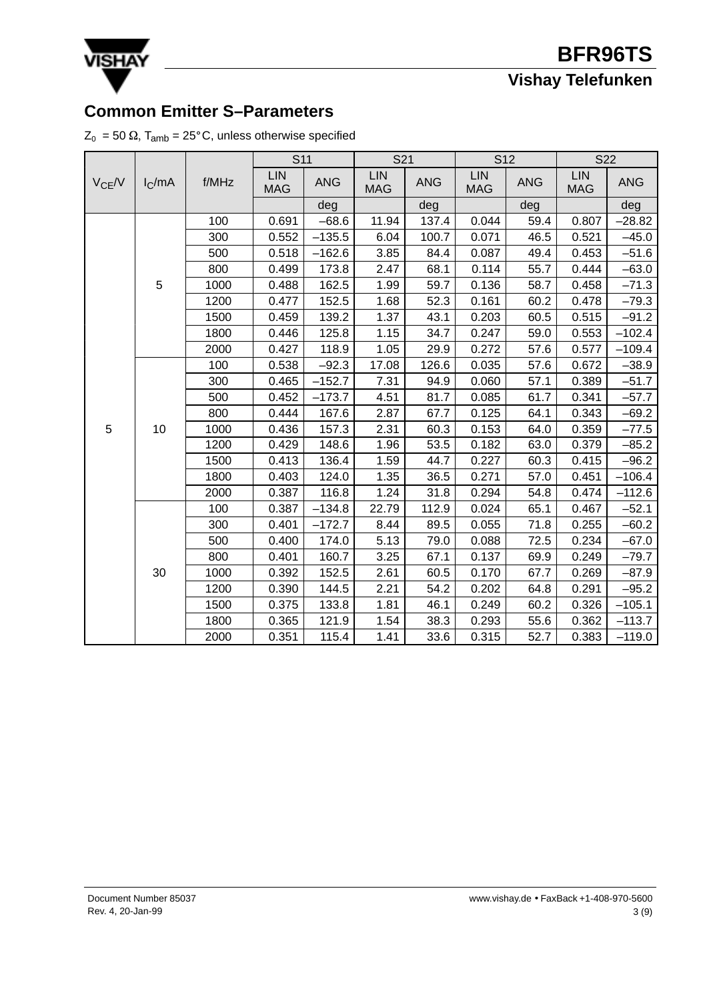

# **Common Emitter S–Parameters** Tamb = 25C, unless otherwise specified

|  |  |  |  |  |  | $\textnormal{Z}_\textnormal{0}$ = 50 $\Omega$ , T <sub>amb</sub> = 25°C, unless otherwise specified |  |
|--|--|--|--|--|--|-----------------------------------------------------------------------------------------------------|--|
|--|--|--|--|--|--|-----------------------------------------------------------------------------------------------------|--|

|            |           |       | S <sub>11</sub>          |            | S21               |            | S12                      |            | S22               |            |  |
|------------|-----------|-------|--------------------------|------------|-------------------|------------|--------------------------|------------|-------------------|------------|--|
| $V_{CE}/V$ | $I_C$ /mA | f/MHz | <b>LIN</b><br><b>MAG</b> | <b>ANG</b> | LIN<br><b>MAG</b> | <b>ANG</b> | <b>LIN</b><br><b>MAG</b> | <b>ANG</b> | LIN<br><b>MAG</b> | <b>ANG</b> |  |
|            |           |       |                          | deg        |                   | deg        |                          | deg        |                   | deg        |  |
|            |           | 100   | 0.691                    | $-68.6$    | 11.94             | 137.4      | 0.044                    | 59.4       | 0.807             | $-28.82$   |  |
|            |           | 300   | 0.552                    | $-135.5$   | 6.04              | 100.7      | 0.071                    | 46.5       | 0.521             | $-45.0$    |  |
|            |           | 500   | 0.518                    | $-162.6$   | 3.85              | 84.4       | 0.087                    | 49.4       | 0.453             | $-51.6$    |  |
|            |           | 800   | 0.499                    | 173.8      | 2.47              | 68.1       | 0.114                    | 55.7       | 0.444             | $-63.0$    |  |
|            | 5         | 1000  | 0.488                    | 162.5      | 1.99              | 59.7       | 0.136                    | 58.7       | 0.458             | $-71.3$    |  |
|            |           | 1200  | 0.477                    | 152.5      | 1.68              | 52.3       | 0.161                    | 60.2       | 0.478             | $-79.3$    |  |
|            |           | 1500  | 0.459                    | 139.2      | 1.37              | 43.1       | 0.203                    | 60.5       | 0.515             | $-91.2$    |  |
|            |           | 1800  | 0.446                    | 125.8      | 1.15              | 34.7       | 0.247                    | 59.0       | 0.553             | $-102.4$   |  |
|            |           | 2000  | 0.427                    | 118.9      | 1.05              | 29.9       | 0.272                    | 57.6       | 0.577             | $-109.4$   |  |
|            |           | 100   | 0.538                    | $-92.3$    | 17.08             | 126.6      | 0.035                    | 57.6       | 0.672             | $-38.9$    |  |
|            |           | 300   | 0.465                    | $-152.7$   | 7.31              | 94.9       | 0.060                    | 57.1       | 0.389             | $-51.7$    |  |
|            |           | 500   | 0.452                    | $-173.7$   | 4.51              | 81.7       | 0.085                    | 61.7       | 0.341             | $-57.7$    |  |
|            |           | 800   | 0.444                    | 167.6      | 2.87              | 67.7       | 0.125                    | 64.1       | 0.343             | $-69.2$    |  |
| 5          | 10        | 1000  | 0.436                    | 157.3      | 2.31              | 60.3       | 0.153                    | 64.0       | 0.359             | $-77.5$    |  |
|            |           | 1200  | 0.429                    | 148.6      | 1.96              | 53.5       | 0.182                    | 63.0       | 0.379             | $-85.2$    |  |
|            |           | 1500  | 0.413                    | 136.4      | 1.59              | 44.7       | 0.227                    | 60.3       | 0.415             | $-96.2$    |  |
|            |           | 1800  | 0.403                    | 124.0      | 1.35              | 36.5       | 0.271                    | 57.0       | 0.451             | $-106.4$   |  |
|            |           | 2000  | 0.387                    | 116.8      | 1.24              | 31.8       | 0.294                    | 54.8       | 0.474             | $-112.6$   |  |
|            |           | 100   | 0.387                    | $-134.8$   | 22.79             | 112.9      | 0.024                    | 65.1       | 0.467             | $-52.1$    |  |
|            |           | 300   | 0.401                    | $-172.7$   | 8.44              | 89.5       | 0.055                    | 71.8       | 0.255             | $-60.2$    |  |
|            |           | 500   | 0.400                    | 174.0      | 5.13              | 79.0       | 0.088                    | 72.5       | 0.234             | $-67.0$    |  |
|            |           | 800   | 0.401                    | 160.7      | 3.25              | 67.1       | 0.137                    | 69.9       | 0.249             | $-79.7$    |  |
|            | 30        | 1000  | 0.392                    | 152.5      | 2.61              | 60.5       | 0.170                    | 67.7       | 0.269             | $-87.9$    |  |
|            |           | 1200  | 0.390                    | 144.5      | 2.21              | 54.2       | 0.202                    | 64.8       | 0.291             | $-95.2$    |  |
|            |           | 1500  | 0.375                    | 133.8      | 1.81              | 46.1       | 0.249                    | 60.2       | 0.326             | $-105.1$   |  |
|            |           | 1800  | 0.365                    | 121.9      | 1.54              | 38.3       | 0.293                    | 55.6       | 0.362             | $-113.7$   |  |
|            |           | 2000  | 0.351                    | 115.4      | 1.41              | 33.6       | 0.315                    | 52.7       | 0.383             | $-119.0$   |  |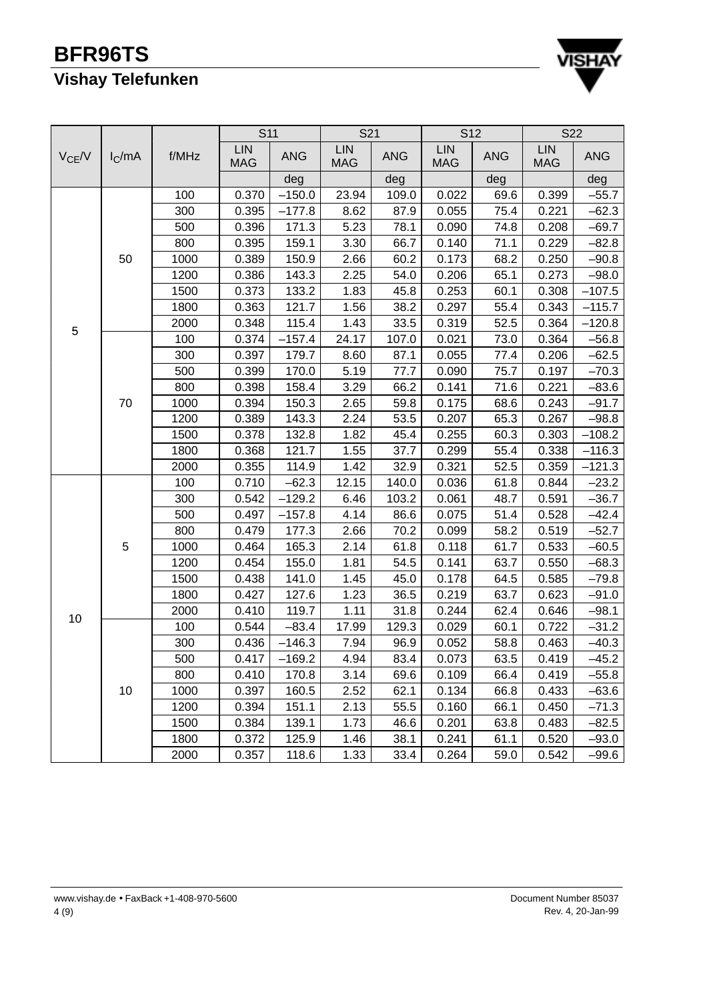

|            |           |       | S <sub>11</sub>          |            | S21                      |            | S12                      |            | <b>S22</b>               |            |  |
|------------|-----------|-------|--------------------------|------------|--------------------------|------------|--------------------------|------------|--------------------------|------------|--|
| $V_{CE}/V$ | $I_C$ /mA | f/MHz | <b>LIN</b><br><b>MAG</b> | <b>ANG</b> | <b>LIN</b><br><b>MAG</b> | <b>ANG</b> | <b>LIN</b><br><b>MAG</b> | <b>ANG</b> | <b>LIN</b><br><b>MAG</b> | <b>ANG</b> |  |
|            |           |       |                          | deg        |                          | deg        |                          | deg        |                          | deg        |  |
|            |           | 100   | 0.370                    | $-150.0$   | 23.94                    | 109.0      | 0.022                    | 69.6       | 0.399                    | $-55.7$    |  |
|            |           | 300   | 0.395                    | $-177.8$   | 8.62                     | 87.9       | 0.055                    | 75.4       | 0.221                    | $-62.3$    |  |
|            |           | 500   | 0.396                    | 171.3      | 5.23                     | 78.1       | 0.090                    | 74.8       | 0.208                    | $-69.7$    |  |
|            |           | 800   | 0.395                    | 159.1      | 3.30                     | 66.7       | 0.140                    | 71.1       | 0.229                    | $-82.8$    |  |
|            | 50        | 1000  | 0.389                    | 150.9      | 2.66                     | 60.2       | 0.173                    | 68.2       | 0.250                    | $-90.8$    |  |
|            |           | 1200  | 0.386                    | 143.3      | 2.25                     | 54.0       | 0.206                    | 65.1       | 0.273                    | $-98.0$    |  |
|            |           | 1500  | 0.373                    | 133.2      | 1.83                     | 45.8       | 0.253                    | 60.1       | 0.308                    | $-107.5$   |  |
|            |           | 1800  | 0.363                    | 121.7      | 1.56                     | 38.2       | 0.297                    | 55.4       | 0.343                    | $-115.7$   |  |
| 5          |           | 2000  | 0.348                    | 115.4      | 1.43                     | 33.5       | 0.319                    | 52.5       | 0.364                    | $-120.8$   |  |
|            |           | 100   | 0.374                    | $-157.4$   | 24.17                    | 107.0      | 0.021                    | 73.0       | 0.364                    | $-56.8$    |  |
|            |           | 300   | 0.397                    | 179.7      | 8.60                     | 87.1       | 0.055                    | 77.4       | 0.206                    | $-62.5$    |  |
|            |           | 500   | 0.399                    | 170.0      | 5.19                     | 77.7       | 0.090                    | 75.7       | 0.197                    | $-70.3$    |  |
|            |           | 800   | 0.398                    | 158.4      | 3.29                     | 66.2       | 0.141                    | 71.6       | 0.221                    | $-83.6$    |  |
|            | 70        | 1000  | 0.394                    | 150.3      | 2.65                     | 59.8       | 0.175                    | 68.6       | 0.243                    | $-91.7$    |  |
|            |           | 1200  | 0.389                    | 143.3      | 2.24                     | 53.5       | 0.207                    | 65.3       | 0.267                    | $-98.8$    |  |
|            |           | 1500  | 0.378                    | 132.8      | 1.82                     | 45.4       | 0.255                    | 60.3       | 0.303                    | $-108.2$   |  |
|            |           | 1800  | 0.368                    | 121.7      | 1.55                     | 37.7       | 0.299                    | 55.4       | 0.338                    | $-116.3$   |  |
|            |           | 2000  | 0.355                    | 114.9      | 1.42                     | 32.9       | 0.321                    | 52.5       | 0.359                    | $-121.3$   |  |
|            |           | 100   | 0.710                    | $-62.3$    | 12.15                    | 140.0      | 0.036                    | 61.8       | 0.844                    | $-23.2$    |  |
|            |           | 300   | 0.542                    | $-129.2$   | 6.46                     | 103.2      | 0.061                    | 48.7       | 0.591                    | $-36.7$    |  |
|            |           | 500   | 0.497                    | $-157.8$   | 4.14                     | 86.6       | 0.075                    | 51.4       | 0.528                    | $-42.4$    |  |
|            |           | 800   | 0.479                    | 177.3      | 2.66                     | 70.2       | 0.099                    | 58.2       | 0.519                    | $-52.7$    |  |
|            | 5         | 1000  | 0.464                    | 165.3      | 2.14                     | 61.8       | 0.118                    | 61.7       | 0.533                    | $-60.5$    |  |
|            |           | 1200  | 0.454                    | 155.0      | 1.81                     | 54.5       | 0.141                    | 63.7       | 0.550                    | $-68.3$    |  |
|            |           | 1500  | 0.438                    | 141.0      | 1.45                     | 45.0       | 0.178                    | 64.5       | 0.585                    | $-79.8$    |  |
|            |           | 1800  | 0.427                    | 127.6      | 1.23                     | 36.5       | 0.219                    | 63.7       | 0.623                    | $-91.0$    |  |
| 10         |           | 2000  | 0.410                    | 119.7      | 1.11                     | 31.8       | 0.244                    | 62.4       | 0.646                    | $-98.1$    |  |
|            |           | 100   | 0.544                    | $-83.4$    | 17.99                    | 129.3      | 0.029                    | 60.1       | 0.722                    | $-31.2$    |  |
|            |           | 300   | 0.436                    | $-146.3$   | 7.94                     | 96.9       | 0.052                    | 58.8       | 0.463                    | $-40.3$    |  |
|            |           | 500   | 0.417                    | $-169.2$   | 4.94                     | 83.4       | 0.073                    | 63.5       | 0.419                    | $-45.2$    |  |
|            |           | 800   | 0.410                    | 170.8      | 3.14                     | 69.6       | 0.109                    | 66.4       | 0.419                    | $-55.8$    |  |
|            | 10        | 1000  | 0.397                    | 160.5      | 2.52                     | 62.1       | 0.134                    | 66.8       | 0.433                    | $-63.6$    |  |
|            |           | 1200  | 0.394                    | 151.1      | 2.13                     | 55.5       | 0.160                    | 66.1       | 0.450                    | $-71.3$    |  |
|            |           | 1500  | 0.384                    | 139.1      | 1.73                     | 46.6       | 0.201                    | 63.8       | 0.483                    | $-82.5$    |  |
|            |           | 1800  | 0.372                    | 125.9      | 1.46                     | 38.1       | 0.241                    | 61.1       | 0.520                    | $-93.0$    |  |
|            |           | 2000  | 0.357                    | 118.6      | 1.33                     | 33.4       | 0.264                    | 59.0       | 0.542                    | $-99.6$    |  |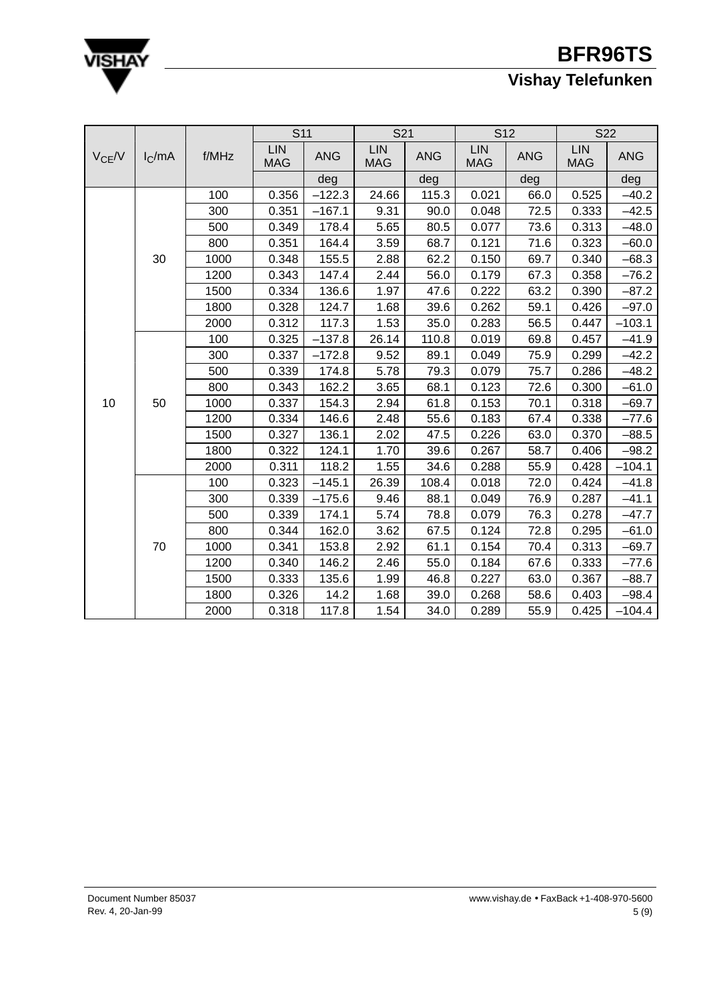

|            |           |       | <b>S11</b>               |            | S21                      |            | S <sub>12</sub>          |            | <b>S22</b>               |            |  |
|------------|-----------|-------|--------------------------|------------|--------------------------|------------|--------------------------|------------|--------------------------|------------|--|
| $V_{CE}/V$ | $I_C$ /mA | f/MHz | <b>LIN</b><br><b>MAG</b> | <b>ANG</b> | <b>LIN</b><br><b>MAG</b> | <b>ANG</b> | <b>LIN</b><br><b>MAG</b> | <b>ANG</b> | <b>LIN</b><br><b>MAG</b> | <b>ANG</b> |  |
|            |           |       |                          | deg        |                          | deg        |                          | deg        |                          | deg        |  |
|            |           | 100   | 0.356                    | $-122.3$   | 24.66                    | 115.3      | 0.021                    | 66.0       | 0.525                    | $-40.2$    |  |
|            |           | 300   | 0.351                    | $-167.1$   | 9.31                     | 90.0       | 0.048                    | 72.5       | 0.333                    | $-42.5$    |  |
|            |           | 500   | 0.349                    | 178.4      | 5.65                     | 80.5       | 0.077                    | 73.6       | 0.313                    | $-48.0$    |  |
|            |           | 800   | 0.351                    | 164.4      | 3.59                     | 68.7       | 0.121                    | 71.6       | 0.323                    | $-60.0$    |  |
|            | 30        | 1000  | 0.348                    | 155.5      | 2.88                     | 62.2       | 0.150                    | 69.7       | 0.340                    | $-68.3$    |  |
|            |           | 1200  | 0.343                    | 147.4      | 2.44                     | 56.0       | 0.179                    | 67.3       | 0.358                    | $-76.2$    |  |
|            |           | 1500  | 0.334                    | 136.6      | 1.97                     | 47.6       | 0.222                    | 63.2       | 0.390                    | $-87.2$    |  |
|            |           | 1800  | 0.328                    | 124.7      | 1.68                     | 39.6       | 0.262                    | 59.1       | 0.426                    | $-97.0$    |  |
|            |           | 2000  | 0.312                    | 117.3      | 1.53                     | 35.0       | 0.283                    | 56.5       | 0.447                    | $-103.1$   |  |
|            |           | 100   | 0.325                    | $-137.8$   | 26.14                    | 110.8      | 0.019                    | 69.8       | 0.457                    | $-41.9$    |  |
|            |           | 300   | 0.337                    | $-172.8$   | 9.52                     | 89.1       | 0.049                    | 75.9       | 0.299                    | $-42.2$    |  |
|            |           | 500   | 0.339                    | 174.8      | 5.78                     | 79.3       | 0.079                    | 75.7       | 0.286                    | $-48.2$    |  |
|            |           | 800   | 0.343                    | 162.2      | 3.65                     | 68.1       | 0.123                    | 72.6       | 0.300                    | $-61.0$    |  |
| 10         | 50        | 1000  | 0.337                    | 154.3      | 2.94                     | 61.8       | 0.153                    | 70.1       | 0.318                    | $-69.7$    |  |
|            |           | 1200  | 0.334                    | 146.6      | 2.48                     | 55.6       | 0.183                    | 67.4       | 0.338                    | $-77.6$    |  |
|            |           | 1500  | 0.327                    | 136.1      | 2.02                     | 47.5       | 0.226                    | 63.0       | 0.370                    | $-88.5$    |  |
|            |           | 1800  | 0.322                    | 124.1      | 1.70                     | 39.6       | 0.267                    | 58.7       | 0.406                    | $-98.2$    |  |
|            |           | 2000  | 0.311                    | 118.2      | 1.55                     | 34.6       | 0.288                    | 55.9       | 0.428                    | $-104.1$   |  |
|            |           | 100   | 0.323                    | $-145.1$   | 26.39                    | 108.4      | 0.018                    | 72.0       | 0.424                    | $-41.8$    |  |
|            |           | 300   | 0.339                    | $-175.6$   | 9.46                     | 88.1       | 0.049                    | 76.9       | 0.287                    | $-41.1$    |  |
|            |           | 500   | 0.339                    | 174.1      | 5.74                     | 78.8       | 0.079                    | 76.3       | 0.278                    | $-47.7$    |  |
|            |           | 800   | 0.344                    | 162.0      | 3.62                     | 67.5       | 0.124                    | 72.8       | 0.295                    | $-61.0$    |  |
|            | 70        | 1000  | 0.341                    | 153.8      | 2.92                     | 61.1       | 0.154                    | 70.4       | 0.313                    | $-69.7$    |  |
|            |           | 1200  | 0.340                    | 146.2      | 2.46                     | 55.0       | 0.184                    | 67.6       | 0.333                    | $-77.6$    |  |
|            |           | 1500  | 0.333                    | 135.6      | 1.99                     | 46.8       | 0.227                    | 63.0       | 0.367                    | $-88.7$    |  |
|            |           | 1800  | 0.326                    | 14.2       | 1.68                     | 39.0       | 0.268                    | 58.6       | 0.403                    | $-98.4$    |  |
|            |           | 2000  | 0.318                    | 117.8      | 1.54                     | 34.0       | 0.289                    | 55.9       | 0.425                    | $-104.4$   |  |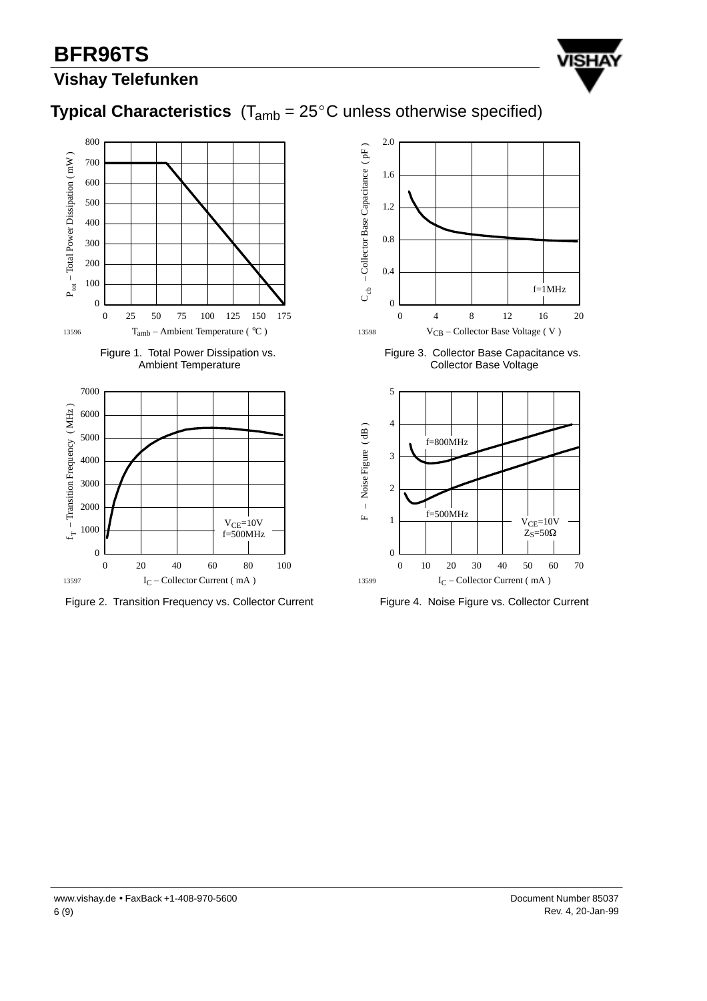# **BFR96TS**



## **Vishay Telefunken**

## **Typical Characteristics**  $(T_{amb} = 25^{\circ}C$  unless otherwise specified)











Figure 3. Collector Base Capacitance vs. Collector Base Voltage



Figure 4. Noise Figure vs. Collector Current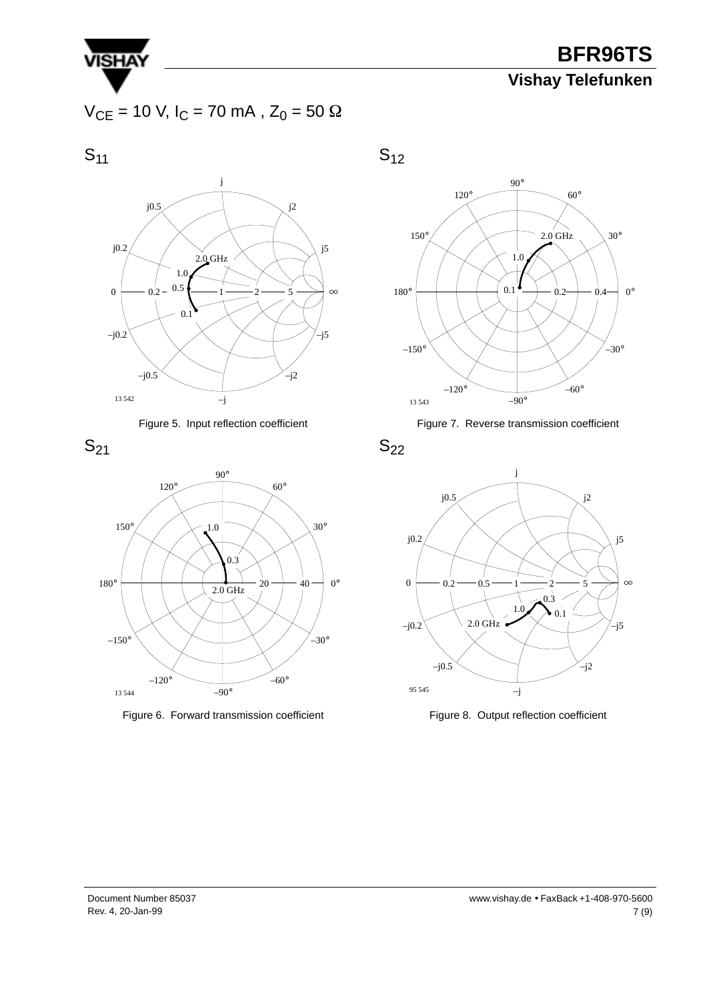

 $V_{CE}$  = 10 V, I<sub>C</sub> = 70 mA, Z<sub>0</sub> = 50  $\Omega$ 

 $S_{11}$ 









Figure 6. Forward transmission coefficient





Figure 7. Reverse transmission coefficient

 $S_{22}$ 



Figure 8. Output reflection coefficient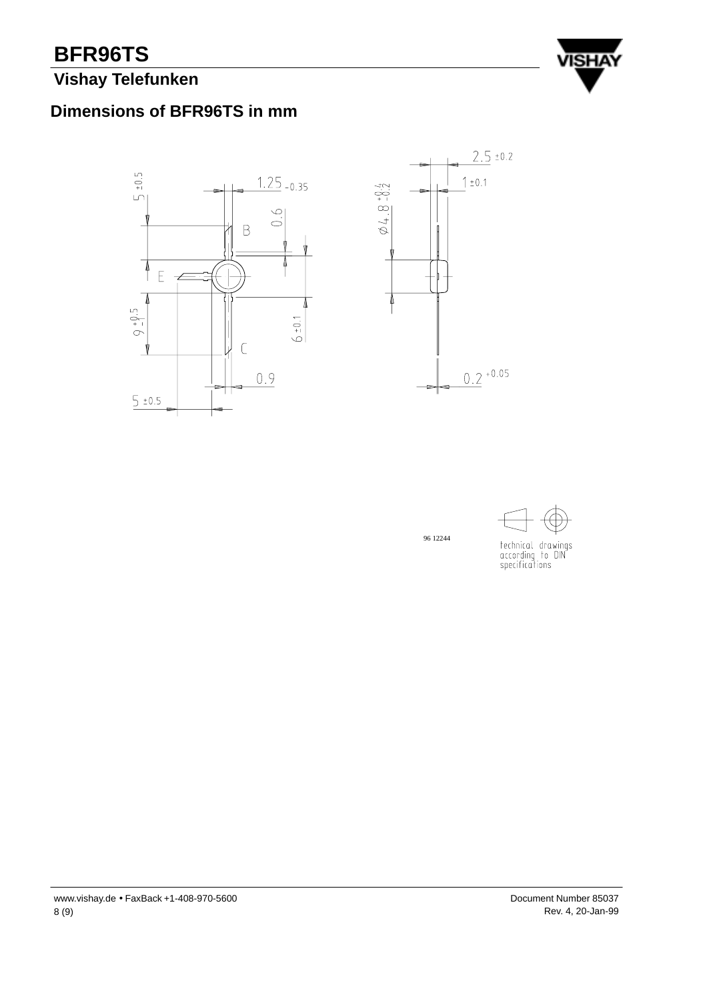# **BFR96TS**

## **Vishay Telefunken**



## **Dimensions of BFR96TS in mm**





96 12244



technical drawings<br>according to DIN<br>specifications